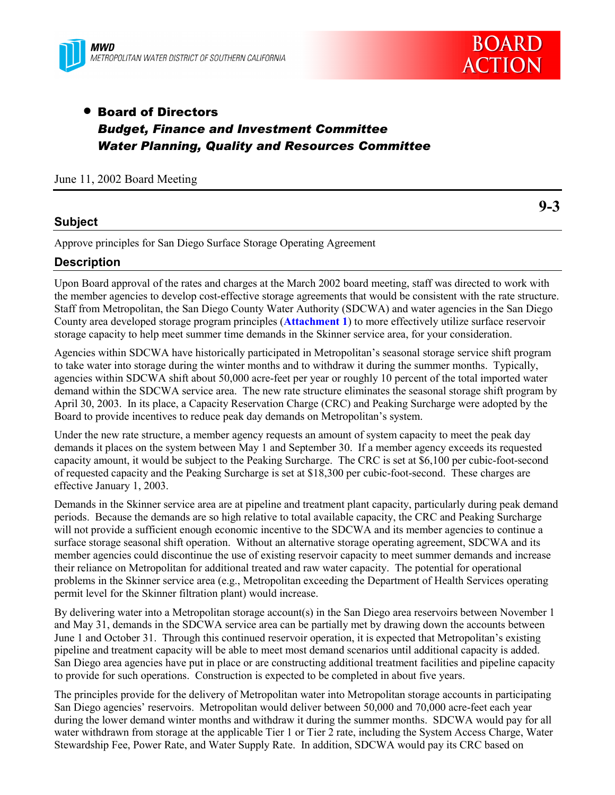



**9-3**

# • Board of Directors *Budget, Finance and Investment Committee Water Planning, Quality and Resources Committee*

### June 11, 2002 Board Meeting

## **Subject**

Approve principles for San Diego Surface Storage Operating Agreement

## **Description**

Upon Board approval of the rates and charges at the March 2002 board meeting, staff was directed to work with the member agencies to develop cost-effective storage agreements that would be consistent with the rate structure. Staff from Metropolitan, the San Diego County Water Authority (SDCWA) and water agencies in the San Diego County area developed storage program principles (**Attachment 1**) to more effectively utilize surface reservoir storage capacity to help meet summer time demands in the Skinner service area, for your consideration.

Agencies within SDCWA have historically participated in Metropolitan's seasonal storage service shift program to take water into storage during the winter months and to withdraw it during the summer months. Typically, agencies within SDCWA shift about 50,000 acre-feet per year or roughly 10 percent of the total imported water demand within the SDCWA service area. The new rate structure eliminates the seasonal storage shift program by April 30, 2003. In its place, a Capacity Reservation Charge (CRC) and Peaking Surcharge were adopted by the Board to provide incentives to reduce peak day demands on Metropolitan's system.

Under the new rate structure, a member agency requests an amount of system capacity to meet the peak day demands it places on the system between May 1 and September 30. If a member agency exceeds its requested capacity amount, it would be subject to the Peaking Surcharge. The CRC is set at \$6,100 per cubic-foot-second of requested capacity and the Peaking Surcharge is set at \$18,300 per cubic-foot-second. These charges are effective January 1, 2003.

Demands in the Skinner service area are at pipeline and treatment plant capacity, particularly during peak demand periods. Because the demands are so high relative to total available capacity, the CRC and Peaking Surcharge will not provide a sufficient enough economic incentive to the SDCWA and its member agencies to continue a surface storage seasonal shift operation. Without an alternative storage operating agreement, SDCWA and its member agencies could discontinue the use of existing reservoir capacity to meet summer demands and increase their reliance on Metropolitan for additional treated and raw water capacity. The potential for operational problems in the Skinner service area (e.g., Metropolitan exceeding the Department of Health Services operating permit level for the Skinner filtration plant) would increase.

By delivering water into a Metropolitan storage account(s) in the San Diego area reservoirs between November 1 and May 31, demands in the SDCWA service area can be partially met by drawing down the accounts between June 1 and October 31. Through this continued reservoir operation, it is expected that Metropolitan's existing pipeline and treatment capacity will be able to meet most demand scenarios until additional capacity is added. San Diego area agencies have put in place or are constructing additional treatment facilities and pipeline capacity to provide for such operations. Construction is expected to be completed in about five years.

The principles provide for the delivery of Metropolitan water into Metropolitan storage accounts in participating San Diego agencies' reservoirs. Metropolitan would deliver between 50,000 and 70,000 acre-feet each year during the lower demand winter months and withdraw it during the summer months. SDCWA would pay for all water withdrawn from storage at the applicable Tier 1 or Tier 2 rate, including the System Access Charge, Water Stewardship Fee, Power Rate, and Water Supply Rate. In addition, SDCWA would pay its CRC based on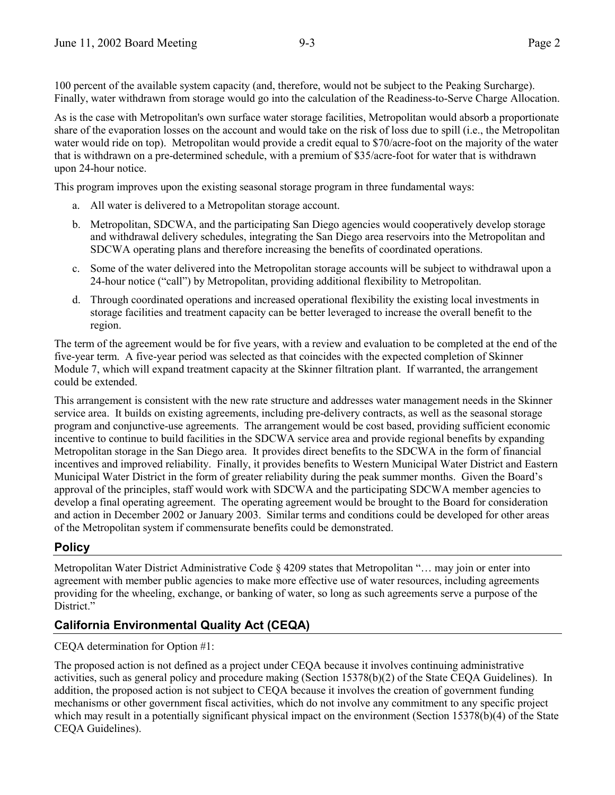100 percent of the available system capacity (and, therefore, would not be subject to the Peaking Surcharge). Finally, water withdrawn from storage would go into the calculation of the Readiness-to-Serve Charge Allocation.

As is the case with Metropolitan's own surface water storage facilities, Metropolitan would absorb a proportionate share of the evaporation losses on the account and would take on the risk of loss due to spill (i.e., the Metropolitan water would ride on top). Metropolitan would provide a credit equal to \$70/acre-foot on the majority of the water that is withdrawn on a pre-determined schedule, with a premium of \$35/acre-foot for water that is withdrawn upon 24-hour notice.

This program improves upon the existing seasonal storage program in three fundamental ways:

- a. All water is delivered to a Metropolitan storage account.
- b. Metropolitan, SDCWA, and the participating San Diego agencies would cooperatively develop storage and withdrawal delivery schedules, integrating the San Diego area reservoirs into the Metropolitan and SDCWA operating plans and therefore increasing the benefits of coordinated operations.
- c. Some of the water delivered into the Metropolitan storage accounts will be subject to withdrawal upon a 24-hour notice ("call") by Metropolitan, providing additional flexibility to Metropolitan.
- d. Through coordinated operations and increased operational flexibility the existing local investments in storage facilities and treatment capacity can be better leveraged to increase the overall benefit to the region.

The term of the agreement would be for five years, with a review and evaluation to be completed at the end of the five-year term. A five-year period was selected as that coincides with the expected completion of Skinner Module 7, which will expand treatment capacity at the Skinner filtration plant. If warranted, the arrangement could be extended.

This arrangement is consistent with the new rate structure and addresses water management needs in the Skinner service area. It builds on existing agreements, including pre-delivery contracts, as well as the seasonal storage program and conjunctive-use agreements. The arrangement would be cost based, providing sufficient economic incentive to continue to build facilities in the SDCWA service area and provide regional benefits by expanding Metropolitan storage in the San Diego area. It provides direct benefits to the SDCWA in the form of financial incentives and improved reliability. Finally, it provides benefits to Western Municipal Water District and Eastern Municipal Water District in the form of greater reliability during the peak summer months. Given the Board's approval of the principles, staff would work with SDCWA and the participating SDCWA member agencies to develop a final operating agreement. The operating agreement would be brought to the Board for consideration and action in December 2002 or January 2003. Similar terms and conditions could be developed for other areas of the Metropolitan system if commensurate benefits could be demonstrated.

# **Policy**

Metropolitan Water District Administrative Code § 4209 states that Metropolitan "… may join or enter into agreement with member public agencies to make more effective use of water resources, including agreements providing for the wheeling, exchange, or banking of water, so long as such agreements serve a purpose of the District."

# **California Environmental Quality Act (CEQA)**

CEQA determination for Option #1:

The proposed action is not defined as a project under CEQA because it involves continuing administrative activities, such as general policy and procedure making (Section 15378(b)(2) of the State CEQA Guidelines). In addition, the proposed action is not subject to CEQA because it involves the creation of government funding mechanisms or other government fiscal activities, which do not involve any commitment to any specific project which may result in a potentially significant physical impact on the environment (Section 15378(b)(4) of the State CEQA Guidelines).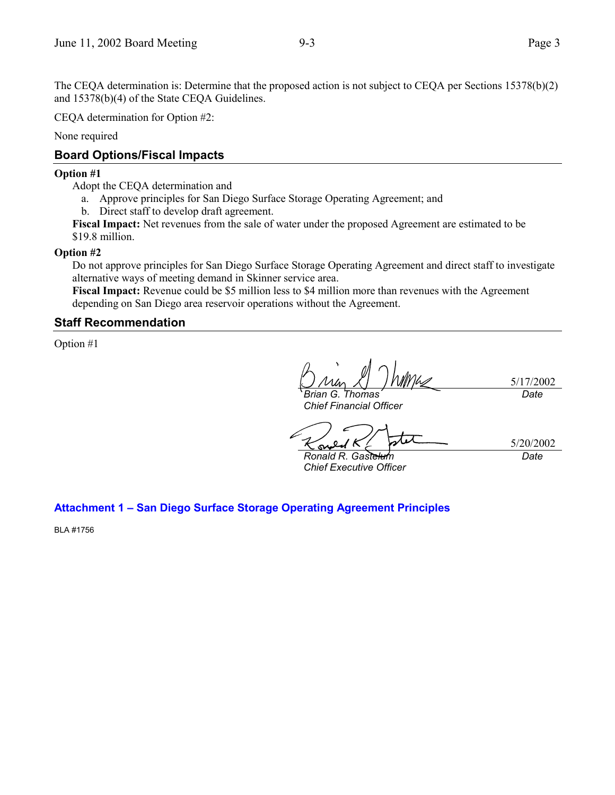The CEQA determination is: Determine that the proposed action is not subject to CEQA per Sections 15378(b)(2) and 15378(b)(4) of the State CEQA Guidelines.

CEQA determination for Option #2:

None required

# **Board Options/Fiscal Impacts**

### **Option #1**

Adopt the CEQA determination and

- a. Approve principles for San Diego Surface Storage Operating Agreement; and
- b. Direct staff to develop draft agreement.

**Fiscal Impact:** Net revenues from the sale of water under the proposed Agreement are estimated to be \$19.8 million.

## **Option #2**

Do not approve principles for San Diego Surface Storage Operating Agreement and direct staff to investigate alternative ways of meeting demand in Skinner service area.

**Fiscal Impact:** Revenue could be \$5 million less to \$4 million more than revenues with the Agreement depending on San Diego area reservoir operations without the Agreement.

# **Staff Recommendation**

Option #1

5/17/2002 *Brian G. Thomas Date*

*Chief Financial Officer*

*Ronald R. Gastelum Chief Executive Officer*

5/20/2002 *Date*

**Attachment 1 – San Diego Surface Storage Operating Agreement Principles**

BLA #1756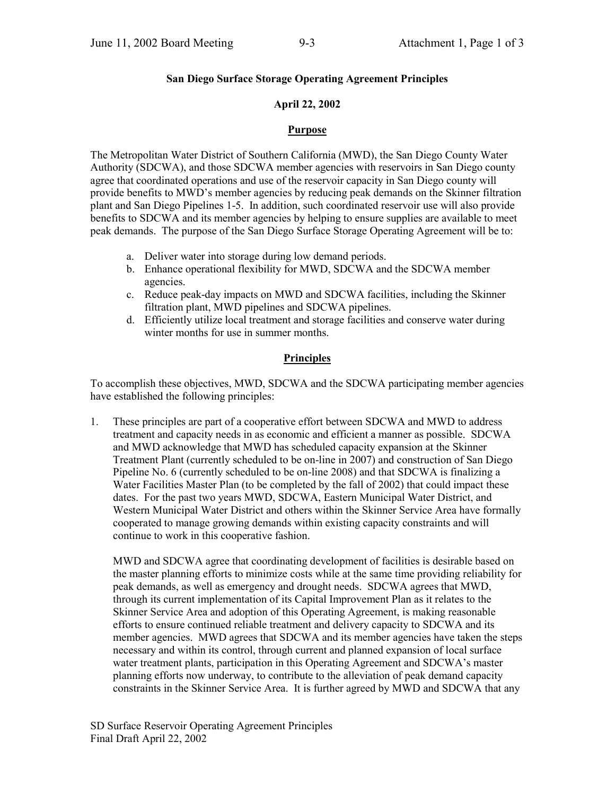#### **San Diego Surface Storage Operating Agreement Principles**

#### **April 22, 2002**

#### **Purpose**

The Metropolitan Water District of Southern California (MWD), the San Diego County Water Authority (SDCWA), and those SDCWA member agencies with reservoirs in San Diego county agree that coordinated operations and use of the reservoir capacity in San Diego county will provide benefits to MWD's member agencies by reducing peak demands on the Skinner filtration plant and San Diego Pipelines 1-5. In addition, such coordinated reservoir use will also provide benefits to SDCWA and its member agencies by helping to ensure supplies are available to meet peak demands. The purpose of the San Diego Surface Storage Operating Agreement will be to:

- a. Deliver water into storage during low demand periods.
- b. Enhance operational flexibility for MWD, SDCWA and the SDCWA member agencies.
- c. Reduce peak-day impacts on MWD and SDCWA facilities, including the Skinner filtration plant, MWD pipelines and SDCWA pipelines.
- d. Efficiently utilize local treatment and storage facilities and conserve water during winter months for use in summer months.

#### **Principles**

To accomplish these objectives, MWD, SDCWA and the SDCWA participating member agencies have established the following principles:

1. These principles are part of a cooperative effort between SDCWA and MWD to address treatment and capacity needs in as economic and efficient a manner as possible. SDCWA and MWD acknowledge that MWD has scheduled capacity expansion at the Skinner Treatment Plant (currently scheduled to be on-line in 2007) and construction of San Diego Pipeline No. 6 (currently scheduled to be on-line 2008) and that SDCWA is finalizing a Water Facilities Master Plan (to be completed by the fall of 2002) that could impact these dates. For the past two years MWD, SDCWA, Eastern Municipal Water District, and Western Municipal Water District and others within the Skinner Service Area have formally cooperated to manage growing demands within existing capacity constraints and will continue to work in this cooperative fashion.

MWD and SDCWA agree that coordinating development of facilities is desirable based on the master planning efforts to minimize costs while at the same time providing reliability for peak demands, as well as emergency and drought needs. SDCWA agrees that MWD, through its current implementation of its Capital Improvement Plan as it relates to the Skinner Service Area and adoption of this Operating Agreement, is making reasonable efforts to ensure continued reliable treatment and delivery capacity to SDCWA and its member agencies. MWD agrees that SDCWA and its member agencies have taken the steps necessary and within its control, through current and planned expansion of local surface water treatment plants, participation in this Operating Agreement and SDCWA's master planning efforts now underway, to contribute to the alleviation of peak demand capacity constraints in the Skinner Service Area. It is further agreed by MWD and SDCWA that any

SD Surface Reservoir Operating Agreement Principles Final Draft April 22, 2002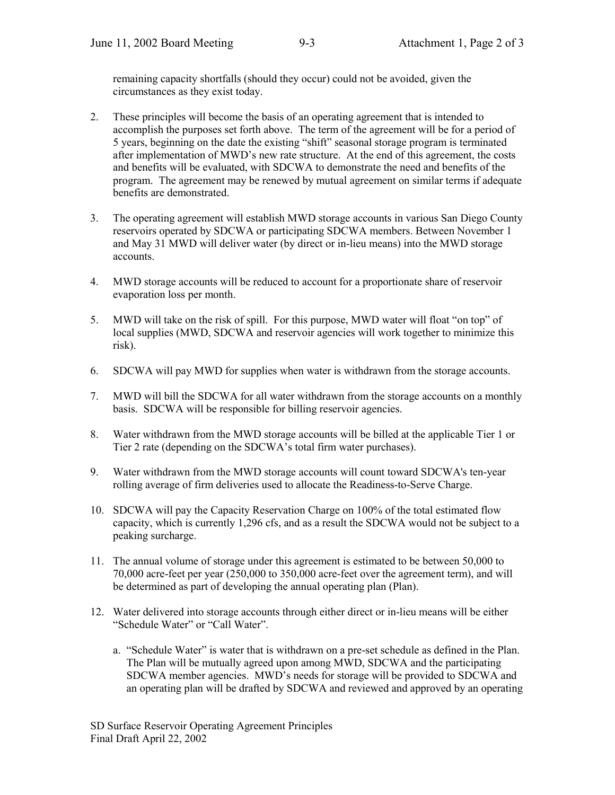remaining capacity shortfalls (should they occur) could not be avoided, given the circumstances as they exist today.

- 2. These principles will become the basis of an operating agreement that is intended to accomplish the purposes set forth above. The term of the agreement will be for a period of 5 years, beginning on the date the existing "shift" seasonal storage program is terminated after implementation of MWD's new rate structure. At the end of this agreement, the costs and benefits will be evaluated, with SDCWA to demonstrate the need and benefits of the program. The agreement may be renewed by mutual agreement on similar terms if adequate benefits are demonstrated.
- 3. The operating agreement will establish MWD storage accounts in various San Diego County reservoirs operated by SDCWA or participating SDCWA members. Between November 1 and May 31 MWD will deliver water (by direct or in-lieu means) into the MWD storage accounts.
- 4. MWD storage accounts will be reduced to account for a proportionate share of reservoir evaporation loss per month.
- 5. MWD will take on the risk of spill. For this purpose, MWD water will float "on top" of local supplies (MWD, SDCWA and reservoir agencies will work together to minimize this risk).
- 6. SDCWA will pay MWD for supplies when water is withdrawn from the storage accounts.
- 7. MWD will bill the SDCWA for all water withdrawn from the storage accounts on a monthly basis. SDCWA will be responsible for billing reservoir agencies.
- 8. Water withdrawn from the MWD storage accounts will be billed at the applicable Tier 1 or Tier 2 rate (depending on the SDCWA's total firm water purchases).
- 9. Water withdrawn from the MWD storage accounts will count toward SDCWA's ten-year rolling average of firm deliveries used to allocate the Readiness-to-Serve Charge.
- 10. SDCWA will pay the Capacity Reservation Charge on 100% of the total estimated flow capacity, which is currently 1,296 cfs, and as a result the SDCWA would not be subject to a peaking surcharge.
- 11. The annual volume of storage under this agreement is estimated to be between 50,000 to 70,000 acre-feet per year (250,000 to 350,000 acre-feet over the agreement term), and will be determined as part of developing the annual operating plan (Plan).
- 12. Water delivered into storage accounts through either direct or in-lieu means will be either "Schedule Water" or "Call Water".
	- a. "Schedule Water" is water that is withdrawn on a pre-set schedule as defined in the Plan. The Plan will be mutually agreed upon among MWD, SDCWA and the participating SDCWA member agencies. MWD's needs for storage will be provided to SDCWA and an operating plan will be drafted by SDCWA and reviewed and approved by an operating